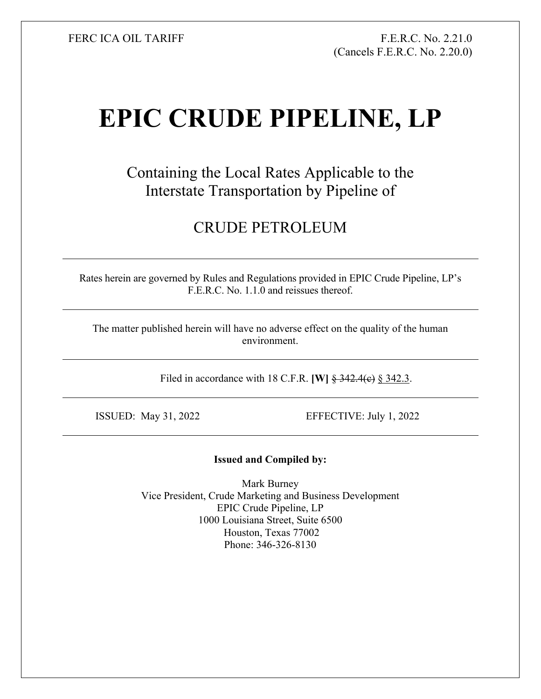FERC ICA OIL TARIFF FR.C. No. 2.21.0 (Cancels F.E.R.C. No. 2.20.0)

## **EPIC CRUDE PIPELINE, LP**

Containing the Local Rates Applicable to the Interstate Transportation by Pipeline of

## CRUDE PETROLEUM

Rates herein are governed by Rules and Regulations provided in EPIC Crude Pipeline, LP's F.E.R.C. No. 1.1.0 and reissues thereof.

The matter published herein will have no adverse effect on the quality of the human environment.

Filed in accordance with 18 C.F.R. **[W]**  $\frac{2}{3}$  342.4(e) § 342.3.

ISSUED: May 31, 2022 EFFECTIVE: July 1, 2022

## **Issued and Compiled by:**

Mark Burney Vice President, Crude Marketing and Business Development EPIC Crude Pipeline, LP 1000 Louisiana Street, Suite 6500 Houston, Texas 77002 Phone: 346-326-8130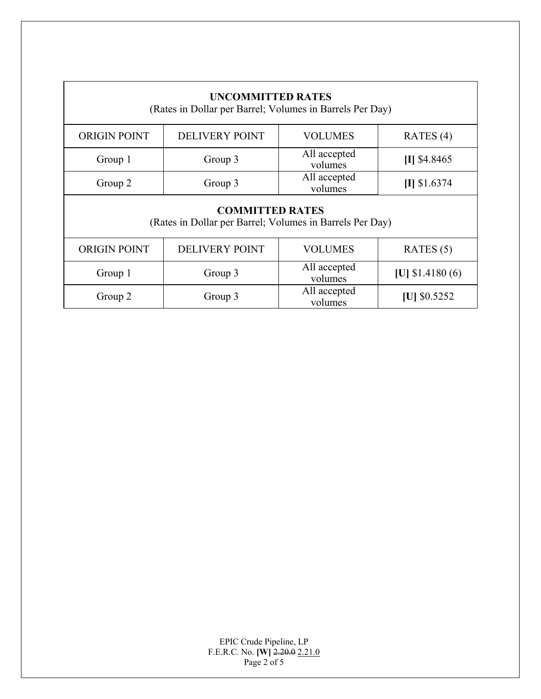| <b>UNCOMMITTED RATES</b><br>(Rates in Dollar per Barrel; Volumes in Barrels Per Day) |                       |                         |                  |  |  |
|--------------------------------------------------------------------------------------|-----------------------|-------------------------|------------------|--|--|
| <b>ORIGIN POINT</b>                                                                  | <b>DELIVERY POINT</b> | <b>VOLUMES</b>          | RATES $(4)$      |  |  |
| Group 1                                                                              | Group 3               | All accepted<br>volumes | $[I]$ \$4.8465   |  |  |
| Group 2                                                                              | Group 3               | All accepted<br>volumes | $[I]$ \$1.6374   |  |  |
| <b>COMMITTED RATES</b><br>(Rates in Dollar per Barrel; Volumes in Barrels Per Day)   |                       |                         |                  |  |  |
| <b>ORIGIN POINT</b>                                                                  | <b>DELIVERY POINT</b> | <b>VOLUMES</b>          | RATES $(5)$      |  |  |
| Group 3<br>Group 1                                                                   |                       | All accepted<br>volumes | [U] $$1.4180(6)$ |  |  |
| Group 2                                                                              | Group 3               | All accepted<br>volumes | $ U $ \$0.5252   |  |  |

EPIC Crude Pipeline, LP F.E.R.C. No. **[W]** 2.20.0 2.21.0 Page 2 of 5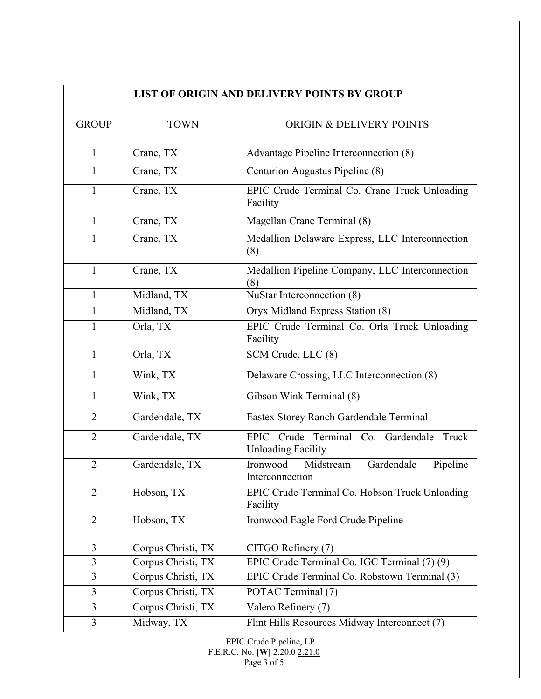| <b>LIST OF ORIGIN AND DELIVERY POINTS BY GROUP</b> |                    |                                                                          |  |  |
|----------------------------------------------------|--------------------|--------------------------------------------------------------------------|--|--|
| <b>GROUP</b>                                       | <b>TOWN</b>        | <b>ORIGIN &amp; DELIVERY POINTS</b>                                      |  |  |
| $\mathbf{1}$                                       | Crane, TX          | Advantage Pipeline Interconnection (8)                                   |  |  |
| 1                                                  | Crane, TX          | Centurion Augustus Pipeline (8)                                          |  |  |
| 1                                                  | Crane, TX          | EPIC Crude Terminal Co. Crane Truck Unloading<br>Facility                |  |  |
| $\mathbf{1}$                                       | Crane, TX          | Magellan Crane Terminal (8)                                              |  |  |
| 1                                                  | Crane, TX          | Medallion Delaware Express, LLC Interconnection<br>(8)                   |  |  |
| $\mathbf{1}$                                       | Crane, TX          | Medallion Pipeline Company, LLC Interconnection<br>(8)                   |  |  |
| 1                                                  | Midland, TX        | NuStar Interconnection (8)                                               |  |  |
| 1                                                  | Midland, TX        | Oryx Midland Express Station (8)                                         |  |  |
| $\mathbf{1}$                                       | Orla, TX           | EPIC Crude Terminal Co. Orla Truck Unloading<br>Facility                 |  |  |
| $\mathbf{1}$                                       | Orla, TX           | SCM Crude, LLC (8)                                                       |  |  |
| 1                                                  | Wink, TX           | Delaware Crossing, LLC Interconnection (8)                               |  |  |
| 1                                                  | Wink, TX           | Gibson Wink Terminal (8)                                                 |  |  |
| $\overline{2}$                                     | Gardendale, TX     | Eastex Storey Ranch Gardendale Terminal                                  |  |  |
| $\overline{2}$                                     | Gardendale, TX     | EPIC Crude Terminal Co. Gardendale<br>Truck<br><b>Unloading Facility</b> |  |  |
| $\overline{2}$                                     | Gardendale, TX     | Midstream<br>Gardendale<br>Ironwood<br>Pipeline<br>Interconnection       |  |  |
| $\overline{2}$                                     | Hobson, TX         | EPIC Crude Terminal Co. Hobson Truck Unloading<br>Facility               |  |  |
| $\overline{2}$                                     | Hobson, TX         | Ironwood Eagle Ford Crude Pipeline                                       |  |  |
| 3                                                  | Corpus Christi, TX | CITGO Refinery (7)                                                       |  |  |
| 3                                                  | Corpus Christi, TX | EPIC Crude Terminal Co. IGC Terminal (7) (9)                             |  |  |
| 3                                                  | Corpus Christi, TX | EPIC Crude Terminal Co. Robstown Terminal (3)                            |  |  |
| $\overline{3}$                                     | Corpus Christi, TX | POTAC Terminal (7)                                                       |  |  |
| 3                                                  | Corpus Christi, TX | Valero Refinery (7)                                                      |  |  |
| 3                                                  | Midway, TX         | Flint Hills Resources Midway Interconnect (7)                            |  |  |

EPIC Crude Pipeline, LP F.E.R.C. No. **[W]** 2.20.0 2.21.0 Page 3 of 5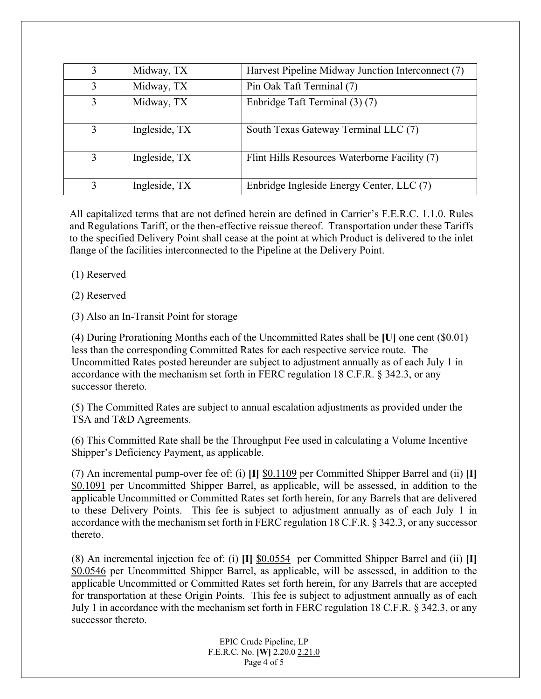| 3 | Midway, TX    | Harvest Pipeline Midway Junction Interconnect (7) |
|---|---------------|---------------------------------------------------|
| 3 | Midway, TX    | Pin Oak Taft Terminal (7)                         |
| 3 | Midway, TX    | Enbridge Taft Terminal (3) (7)                    |
| 3 | Ingleside, TX | South Texas Gateway Terminal LLC (7)              |
| 3 | Ingleside, TX | Flint Hills Resources Waterborne Facility (7)     |
|   | Ingleside, TX | Enbridge Ingleside Energy Center, LLC (7)         |

All capitalized terms that are not defined herein are defined in Carrier's F.E.R.C. 1.1.0. Rules and Regulations Tariff, or the then-effective reissue thereof. Transportation under these Tariffs to the specified Delivery Point shall cease at the point at which Product is delivered to the inlet flange of the facilities interconnected to the Pipeline at the Delivery Point.

(1) Reserved

(2) Reserved

(3) Also an In-Transit Point for storage

 (4) During Prorationing Months each of the Uncommitted Rates shall be **[U]** one cent (\$0.01) less than the corresponding Committed Rates for each respective service route. The Uncommitted Rates posted hereunder are subject to adjustment annually as of each July 1 in accordance with the mechanism set forth in FERC regulation 18 C.F.R. § 342.3, or any successor thereto.

(5) The Committed Rates are subject to annual escalation adjustments as provided under the TSA and T&D Agreements.

(6) This Committed Rate shall be the Throughput Fee used in calculating a Volume Incentive Shipper's Deficiency Payment, as applicable.

(7) An incremental pump-over fee of: (i) **[I]** \$0.1109 per Committed Shipper Barrel and (ii) **[I]** \$0.1091 per Uncommitted Shipper Barrel, as applicable, will be assessed, in addition to the applicable Uncommitted or Committed Rates set forth herein, for any Barrels that are delivered to these Delivery Points. This fee is subject to adjustment annually as of each July 1 in accordance with the mechanism set forth in FERC regulation 18 C.F.R. § 342.3, or any successor thereto.

(8) An incremental injection fee of: (i) **[I]** \$0.0554 per Committed Shipper Barrel and (ii) **[I]** \$0.0546 per Uncommitted Shipper Barrel, as applicable, will be assessed, in addition to the applicable Uncommitted or Committed Rates set forth herein, for any Barrels that are accepted for transportation at these Origin Points. This fee is subject to adjustment annually as of each July 1 in accordance with the mechanism set forth in FERC regulation 18 C.F.R. § 342.3, or any successor thereto.

> EPIC Crude Pipeline, LP F.E.R.C. No. **[W]** 2.20.0 2.21.0 Page 4 of 5